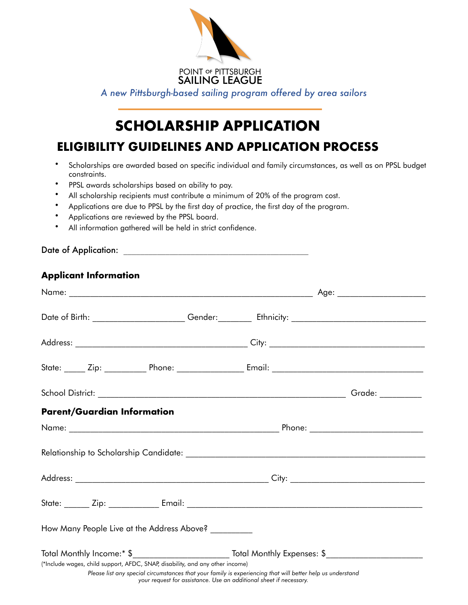

*A new Pittsburgh-based sailing program offered by area sailors*

## SCHOLARSHIP APPLICATION

ELIGIBILITY GUIDELINES AND APPLICATION PROCESS

- Scholarships are awarded based on specific individual and family circumstances, as well as on PPSL budget constraints.
- PPSL awards scholarships based on ability to pay.
- All scholarship recipients must contribute a minimum of 20% of the program cost.
- Applications are due to PPSL by the first day of practice, the first day of the program.
- Applications are reviewed by the PPSL board.
- All information gathered will be held in strict confidence.

| <b>Applicant Information</b>                                                                              |                                                                                                                                                                                  |  |  |
|-----------------------------------------------------------------------------------------------------------|----------------------------------------------------------------------------------------------------------------------------------------------------------------------------------|--|--|
|                                                                                                           |                                                                                                                                                                                  |  |  |
| Date of Birth: ________________________Gender:______________Ethnicity: __________________________________ |                                                                                                                                                                                  |  |  |
|                                                                                                           |                                                                                                                                                                                  |  |  |
|                                                                                                           |                                                                                                                                                                                  |  |  |
|                                                                                                           |                                                                                                                                                                                  |  |  |
| <b>Parent/Guardian Information</b>                                                                        |                                                                                                                                                                                  |  |  |
|                                                                                                           |                                                                                                                                                                                  |  |  |
|                                                                                                           |                                                                                                                                                                                  |  |  |
|                                                                                                           |                                                                                                                                                                                  |  |  |
|                                                                                                           |                                                                                                                                                                                  |  |  |
| How Many People Live at the Address Above? _________                                                      |                                                                                                                                                                                  |  |  |
|                                                                                                           |                                                                                                                                                                                  |  |  |
| (*Include wages, child support, AFDC, SNAP, disability, and any other income)                             | Please list any special circumstances that your family is experiencing that will better help us understand<br>your request for assistance. Use an additional sheet if necessary. |  |  |